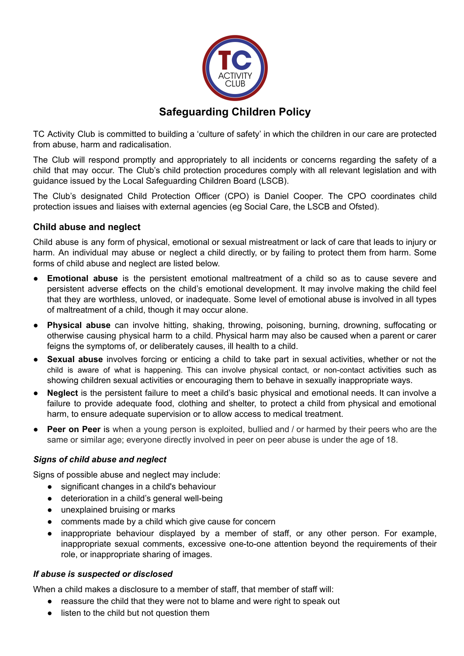

TC Activity Club is committed to building a 'culture of safety' in which the children in our care are protected from abuse, harm and radicalisation.

The Club will respond promptly and appropriately to all incidents or concerns regarding the safety of a child that may occur. The Club's child protection procedures comply with all relevant legislation and with guidance issued by the Local Safeguarding Children Board (LSCB).

The Club's designated Child Protection Officer (CPO) is Daniel Cooper. The CPO coordinates child protection issues and liaises with external agencies (eg Social Care, the LSCB and Ofsted).

# **Child abuse and neglect**

Child abuse is any form of physical, emotional or sexual mistreatment or lack of care that leads to injury or harm. An individual may abuse or neglect a child directly, or by failing to protect them from harm. Some forms of child abuse and neglect are listed below.

- **Emotional abuse** is the persistent emotional maltreatment of a child so as to cause severe and persistent adverse effects on the child's emotional development. It may involve making the child feel that they are worthless, unloved, or inadequate. Some level of emotional abuse is involved in all types of maltreatment of a child, though it may occur alone.
- **Physical abuse** can involve hitting, shaking, throwing, poisoning, burning, drowning, suffocating or otherwise causing physical harm to a child. Physical harm may also be caused when a parent or carer feigns the symptoms of, or deliberately causes, ill health to a child.
- **Sexual abuse** involves forcing or enticing a child to take part in sexual activities, whether or not the child is aware of what is happening. This can involve physical contact, or non-contact activities such as showing children sexual activities or encouraging them to behave in sexually inappropriate ways.
- **Neglect** is the persistent failure to meet a child's basic physical and emotional needs. It can involve a failure to provide adequate food, clothing and shelter, to protect a child from physical and emotional harm, to ensure adequate supervision or to allow access to medical treatment.
- **Peer on Peer** is when a young person is exploited, bullied and / or harmed by their peers who are the same or similar age; everyone directly involved in peer on peer abuse is under the age of 18.

## *Signs of child abuse and neglect*

Signs of possible abuse and neglect may include:

- significant changes in a child's behaviour
- deterioration in a child's general well-being
- unexplained bruising or marks
- comments made by a child which give cause for concern
- inappropriate behaviour displayed by a member of staff, or any other person. For example, inappropriate sexual comments, excessive one-to-one attention beyond the requirements of their role, or inappropriate sharing of images.

## *If abuse is suspected or disclosed*

When a child makes a disclosure to a member of staff, that member of staff will:

- reassure the child that they were not to blame and were right to speak out
- listen to the child but not question them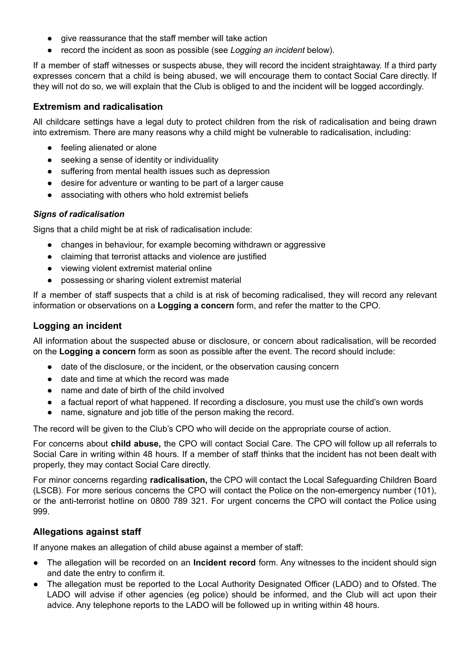- give reassurance that the staff member will take action
- record the incident as soon as possible (see *Logging an incident* below).

If a member of staff witnesses or suspects abuse, they will record the incident straightaway. If a third party expresses concern that a child is being abused, we will encourage them to contact Social Care directly. If they will not do so, we will explain that the Club is obliged to and the incident will be logged accordingly.

### **Extremism and radicalisation**

All childcare settings have a legal duty to protect children from the risk of radicalisation and being drawn into extremism. There are many reasons why a child might be vulnerable to radicalisation, including:

- feeling alienated or alone
- seeking a sense of identity or individuality
- suffering from mental health issues such as depression
- desire for adventure or wanting to be part of a larger cause
- associating with others who hold extremist beliefs

#### *Signs of radicalisation*

Signs that a child might be at risk of radicalisation include:

- changes in behaviour, for example becoming withdrawn or aggressive
- claiming that terrorist attacks and violence are justified
- viewing violent extremist material online
- possessing or sharing violent extremist material

If a member of staff suspects that a child is at risk of becoming radicalised, they will record any relevant information or observations on a **Logging a concern** form, and refer the matter to the CPO.

#### **Logging an incident**

All information about the suspected abuse or disclosure, or concern about radicalisation, will be recorded on the **Logging a concern** form as soon as possible after the event. The record should include:

- date of the disclosure, or the incident, or the observation causing concern
- date and time at which the record was made
- name and date of birth of the child involved
- a factual report of what happened. If recording a disclosure, you must use the child's own words
- name, signature and job title of the person making the record.

The record will be given to the Club's CPO who will decide on the appropriate course of action.

For concerns about **child abuse,** the CPO will contact Social Care. The CPO will follow up all referrals to Social Care in writing within 48 hours. If a member of staff thinks that the incident has not been dealt with properly, they may contact Social Care directly.

For minor concerns regarding **radicalisation,** the CPO will contact the Local Safeguarding Children Board (LSCB). For more serious concerns the CPO will contact the Police on the non-emergency number (101), or the anti-terrorist hotline on 0800 789 321. For urgent concerns the CPO will contact the Police using 999.

## **Allegations against staff**

If anyone makes an allegation of child abuse against a member of staff:

- The allegation will be recorded on an **Incident record** form. Any witnesses to the incident should sign and date the entry to confirm it.
- The allegation must be reported to the Local Authority Designated Officer (LADO) and to Ofsted. The LADO will advise if other agencies (eg police) should be informed, and the Club will act upon their advice. Any telephone reports to the LADO will be followed up in writing within 48 hours.